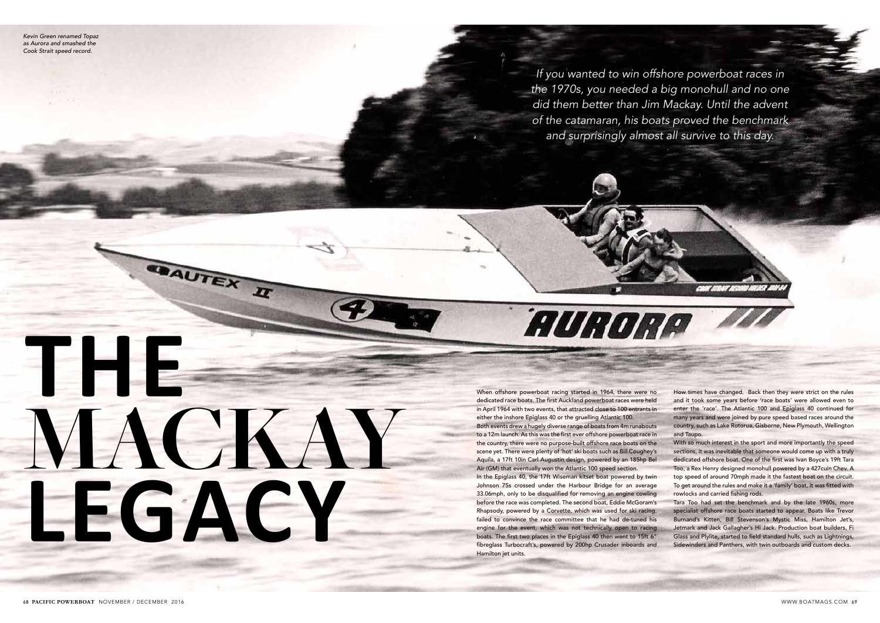When offshore powerboat racing started in 1964, there were no dedicated race boats. The first Auckland powerboat races were held in April 1964 with two events, that attracted close to 100 entrants in either the inshore Epiglass 40 or the gruelling Atlantic 100.

**AURONA** 

Both events drew a hugely diverse range of boats from 4m runabouts to a 12m launch. As this was the first ever offshore powerboat race in the country, there were no purpose-built offshore race boats on the scene yet. There were plenty of 'hot' ski boats such as Bill Coughey's Aquila, a 17ft 10in Carl Augustin design, powered by an 185hp Bel Air (GM) that eventually won the Atlantic 100 speed section.

In the Epiglass 40, the 17ft Wiseman kitset boat powered by twin Johnson 75s crossed under the Harbour Bridge for an average 33.06mph, only to be disqualified for removing an engine cowling before the race was completed. The second boat, Eddie McGoram's Rhapsody, powered by a Corvette, which was used for ski racing, failed to convince the race committee that he had de-tuned his engine for the event, which was not technically open to racing boats. The first two places in the Epiglass 40 then went to 15ft 6" fibreglass Turbocraft's, powered by 200hp Crusader inboards and Hamilton jet units.

With so much interest in the sport and more importantly the speed sections, it was inevitable that someone would come up with a truly dedicated offshore boat. One of the first was Ivan Boyce's 19ft Tara Too, a Rex Henry designed monohull powered by a 427cuin Chev. A top speed of around 70mph made it the fastest boat on the circuit. To get around the rules and make it a 'family' boat, it was fitted with rowlocks and carried fishing rods.

How times have changed. Back then they were strict on the rules and it took some years before 'race boats' were allowed even to enter the 'race'. The Atlantic 100 and Epiglass 40 continued for many years and were joined by pure speed based races around the country, such as Lake Rotorua, Gisborne, New Plymouth, Wellington and Taupo.

COON STOAIT ACCORD NOVAET A

Tara Too had set the benchmark and by the late 1960s, more specialist offshore race boats started to appear. Boats like Trevor Burnand's Kitten, Bill Stevenson's Mystic Miss, Hamilton Jet's, Jetmark and Jack Gallagher's Hi Jack. Production boat builders, Fi Glass and Plylite, started to field standard hulls, such as Lightnings, Sidewinders and Panthers, with twin outboards and custom decks.

**THE**

**MACKAY**

**SAUTEX II** 

**LEGACY**

*If you wanted to win offshore powerboat races in the 1970s, you needed a big monohull and no one did them better than Jim Mackay. Until the advent of the catamaran, his boats proved the benchmark and surprisingly almost all survive to this day.* 

*Kevin Green renamed Topaz as Aurora and smashed the Cook Strait speed record.*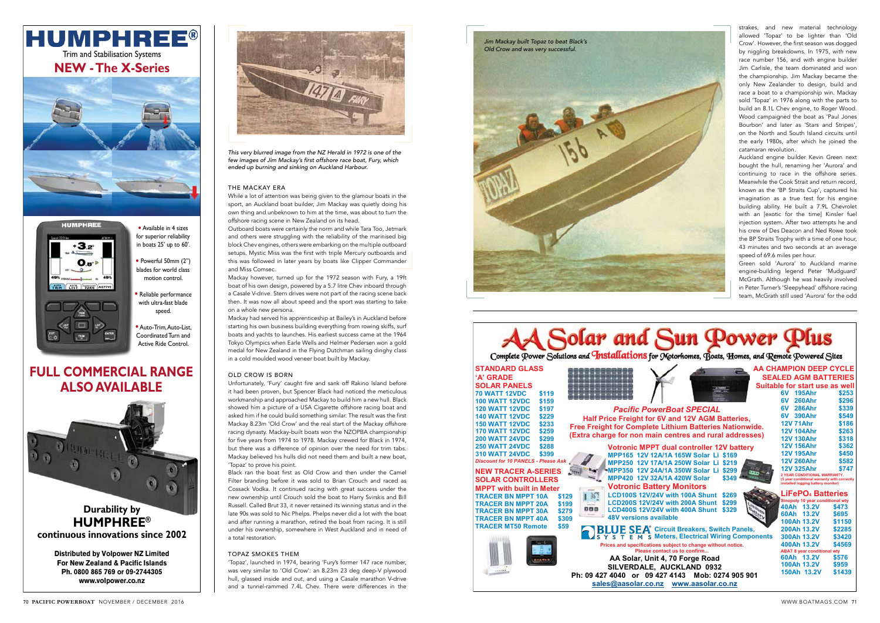strakes, and new material technology allowed 'Topaz' to be lighter than 'Old Crow'. However, the first season was dogged by niggling breakdowns. In 1975, with new race number 156, and with engine builder Jim Carlisle, the team dominated and won the championship. Jim Mackay became the only New Zealander to design, build and race a boat to a championship win. Mackay sold 'Topaz' in 1976 along with the parts to build an 8.1L Chev engine, to Roger Wood. Wood campaigned the boat as 'Paul Jones Bourbon' and later as 'Stars and Stripes', on the North and South Island circuits until the early 1980s, after which he joined the catamaran revolution.

Auckland engine builder Kevin Green next bought the hull, renaming her 'Aurora' and continuing to race in the offshore series. Meanwhile the Cook Strait and return record, known as the 'BP Straits Cup', captured his imagination as a true test for his engine building ability. He built a 7.9L Chevrolet with an [exotic for the time] Kinsler fuel injection system. After two attempts he and his crew of Des Deacon and Ned Rowe took the BP Straits Trophy with a time of one hour, 43 minutes and two seconds at an average speed of 69.6 miles per hour.

Green sold 'Aurora' to Auckland marine engine-building legend Peter 'Mudguard' McGrath. Although he was heavily involved in Peter Turner's 'Sleepyhead' offshore racing team, McGrath still used 'Aurora' for the odd

*This very blurred image from the NZ Herald in 1972 is one of the few images of Jim Mackay's first offshore race boat, Fury, which ended up burning and sinking on Auckland Harbour.*

#### THE MACKAY ERA

While a lot of attention was being given to the glamour boats in the sport, an Auckland boat builder, Jim Mackay was quietly doing his own thing and unbeknown to him at the time, was about to turn the offshore racing scene in New Zealand on its head.

Outboard boats were certainly the norm and while Tara Too, Jetmark and others were struggling with the reliability of the marinised big block Chev engines, others were embarking on the multiple outboard setups. Mystic Miss was the first with triple Mercury outboards and this was followed in later years by boats like Clipper Commander and Miss Comsec.

Mackay however, turned up for the 1972 season with Fury, a 19ft boat of his own design, powered by a 5.7 litre Chev inboard through a Casale V-drive. Stern drives were not part of the racing scene back then. It was now all about speed and the sport was starting to take on a whole new persona.

Mackay had served his apprenticeship at Bailey's in Auckland before starting his own business building everything from rowing skiffs, surf boats and yachts to launches. His earliest success came at the 1964 Tokyo Olympics when Earle Wells and Helmer Pedersen won a gold medal for New Zealand in the Flying Dutchman sailing dinghy class in a cold moulded wood veneer boat built by Mackay.

### OLD CROW IS BORN

Unfortunately, 'Fury' caught fire and sank off Rakino Island before it had been proven, but Spencer Black had noticed the meticulous workmanship and approached Mackay to build him a new hull. Black showed him a picture of a USA Cigarette offshore racing boat and asked him if he could build something similar. The result was the first Mackay 8.23m 'Old Crow' and the real start of the Mackay offshore racing dynasty. Mackay-built boats won the NZOPBA championship for five years from 1974 to 1978. Mackay crewed for Black in 1974, but there was a difference of opinion over the need for trim tabs. Mackay believed his hulls did not need them and built a new boat, 'Topaz' to prove his point.

## **HUMPHREE®** Trim and Stabilisation Systems

Black ran the boat first as Old Crow and then under the Camel Filter branding before it was sold to Brian Crouch and raced as Cossack Vodka. It continued racing with great success under the new ownership until Crouch sold the boat to Harry Svirskis and Bill Russell. Called Brut 33, it never retained its winning status and in the late 90s was sold to Nic Phelps. Phelps never did a lot with the boat and after running a marathon, retired the boat from racing. It is still under his ownership, somewhere in West Auckland and in need of a total restoration.

### TOPAZ SMOKES THEM

'Topaz', launched in 1974, bearing 'Fury's former 147 race number, was very similar to 'Old Crow': an 8.23m 23 deg deep-V plywood hull, glassed inside and out, and using a Casale marathon V-drive and a tunnel-rammed 7.4L Chev. There were differences in the



| d Su<br>ower                                                                                                                                                                                                |                                                                                                                                                                                                     |
|-------------------------------------------------------------------------------------------------------------------------------------------------------------------------------------------------------------|-----------------------------------------------------------------------------------------------------------------------------------------------------------------------------------------------------|
| 011S for Motorhomes, Boats, Homes, and Remote Powered Sites                                                                                                                                                 |                                                                                                                                                                                                     |
|                                                                                                                                                                                                             | <b>AA CHAMPION DEEP CYCLE</b><br><b>SEALED AGM BATTERIES</b><br>Suitable for start use as well<br><b>195Ahr</b><br>6V -<br>\$253<br>6V l<br>260Ahr<br>\$296                                         |
| c PowerBoat SPECIAL<br>ht for 6V and 12V AGM Batteries,<br>mplete Lithium Batteries Nationwide.<br>on main centres and rural addresses)                                                                     | \$339<br>6V l<br><b>286Ahr</b><br>\$549<br>6V<br><b>390Ahr</b><br><b>12V 71Ahr</b><br>\$186<br><b>12V 104Ahr</b><br>\$263<br><b>12V 130Ahr</b><br>\$318                                             |
| <b>MPPT dual controller 12V battery</b><br>12V 12A/1A 165W Solar Li \$169<br>12V 17A/1A 250W Solar Li<br>\$219<br>12V 24A/1A 350W Solar Li<br>\$299<br>12V 32A/1A 420W Solar<br>\$349                       | \$362<br><b>12V 156Ahr</b><br><b>12V 195Ahr</b><br>\$450<br><b>12V 260Ahr</b><br>\$582<br><b>12V 325Ahr</b><br>\$747<br>2 YEAR CONDITIONAL WARRANTY.<br>(5 year conditional warranty with correctly |
| <b>ic Battery Monitors</b><br>312V/24V with 100A Shunt<br>\$269<br>312V/24V with 200A Shunt<br>\$299<br>312V/24V with 400A Shunt<br>\$329<br>ions available                                                 | installed logging battery monitor)<br><b>LiFePO<sub>4</sub> Batteries</b><br>Sinopoly 10 year conditional wty<br>40Ah 13.2V<br>\$473<br>60Ah 13.2V<br>\$695<br>100Ah 13.2V<br>\$1150                |
| EA <sup>®</sup> Circuit Breakers, Switch Panels,<br>M S Meters, Electrical Wiring Components<br>ecifications subject to change without notice.<br>Please contact us to confirm<br>ar, Unit 4, 70 Forge Road | 200Ah 13.2V<br>\$2285<br>300Ah 13.2V<br>\$3420<br>\$4569<br>400Ah 13.2V<br><b>ABAT 8 year conditional wty</b><br>60Ah 13.2V<br>\$576                                                                |
| DALE, AUCKLAND 0932<br>r 09 427 4143<br>Mob: 0274 905 901<br>or oo na wuuu googlar oo na                                                                                                                    | 100Ah 13.2V<br>\$959<br>\$1439<br>150Ah 13.2V                                                                                                                                                       |







**Distributed by Volpower NZ Limited For New Zealand & Pacific Islands Ph. 0800 865 769 or 09-2744305 www.volpower.co.nz**



**NEW - The X-Series**



for superior reliability in boats 25' up to 60'.

• Powerful 50mm (2") blades for world class motion control.

• Reliable performance with ultra-fast blade speed.

• Auto-Trim, Auto-List, Coordinated Turn and Active Ride Control.

#### $\mathbb{R}$  exponential  $\mathbb{R}$  is  $\mathbb{R}$  to  $\mathbb{R}$  . **FULL COMMERCIAL RANGE** • Genuine Accessory **ALSO AVAILABLE**

**Durability by HUMPHREE® continuous innovations since 2002**